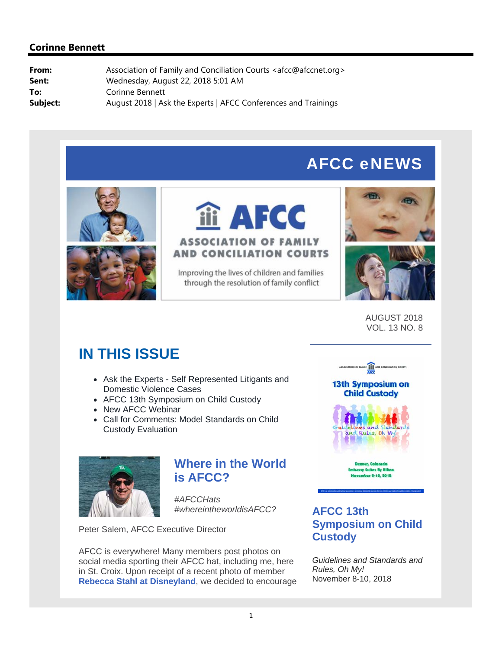# AFCC eNEWS



# **iii AFCC ASSOCIATION OF FAMILY AND CONCILIATION COURTS**

Improving the lives of children and families through the resolution of family conflict





AUGUST 2018 VOL. 13 NO. 8

# **IN THIS ISSUE**

- Ask the Experts Self Represented Litigants and Domestic Violence Cases
- AFCC 13th Symposium on Child Custody
- New AFCC Webinar
- Call for Comments: Model Standards on Child Custody Evaluation



# **Where in the World is AFCC?**

*#AFCCHats #whereintheworldisAFCC?*

Peter Salem, AFCC Executive Director

AFCC is everywhere! Many members post photos on social media sporting their AFCC hat, including me, here in St. Croix. Upon receipt of a recent photo of member **Rebecca Stahl at Disneyland**, we decided to encourage



# **AFCC 13th Symposium on Child Custody**

*Guidelines and Standards and Rules, Oh My!* November 8-10, 2018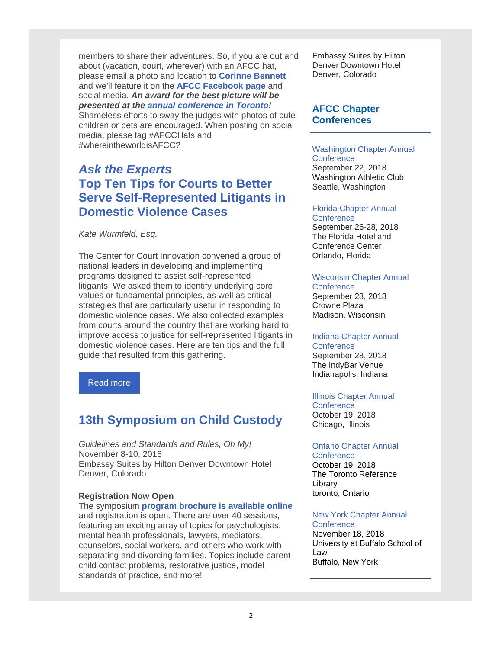members to share their adventures. So, if you are out and about (vacation, court, wherever) with an AFCC hat, please email a photo and location to **Corinne Bennett** and we'll feature it on the **AFCC Facebook page** and social media. *An award for the best picture will be presented at the annual conference in Toronto!* Shameless efforts to sway the judges with photos of cute

children or pets are encouraged. When posting on social media, please tag #AFCCHats and #whereintheworldisAFCC?

# *Ask the Experts*  **Top Ten Tips for Courts to Better Serve Self-Represented Litigants in Domestic Violence Cases**

*Kate Wurmfeld, Esq.*

The Center for Court Innovation convened a group of national leaders in developing and implementing programs designed to assist self-represented litigants. We asked them to identify underlying core values or fundamental principles, as well as critical strategies that are particularly useful in responding to domestic violence cases. We also collected examples from courts around the country that are working hard to improve access to justice for self-represented litigants in domestic violence cases. Here are ten tips and the full guide that resulted from this gathering.

Read more

# **13th Symposium on Child Custody**

*Guidelines and Standards and Rules, Oh My!* November 8-10, 2018 Embassy Suites by Hilton Denver Downtown Hotel Denver, Colorado

#### **Registration Now Open**

The symposium **program brochure is available online**  and registration is open. There are over 40 sessions, featuring an exciting array of topics for psychologists, mental health professionals, lawyers, mediators, counselors, social workers, and others who work with separating and divorcing families. Topics include parentchild contact problems, restorative justice, model standards of practice, and more!

Embassy Suites by Hilton Denver Downtown Hotel Denver, Colorado

#### **AFCC Chapter Conferences**

## Washington Chapter Annual **Conference**

September 22, 2018 Washington Athletic Club Seattle, Washington

#### Florida Chapter Annual **Conference**

September 26-28, 2018 The Florida Hotel and Conference Center Orlando, Florida

#### Wisconsin Chapter Annual **Conference**

September 28, 2018 Crowne Plaza Madison, Wisconsin

#### Indiana Chapter Annual

**Conference** September 28, 2018 The IndyBar Venue Indianapolis, Indiana

## Illinois Chapter Annual

**Conference** October 19, 2018 Chicago, Illinois

#### Ontario Chapter Annual

**Conference** October 19, 2018 The Toronto Reference Library toronto, Ontario

#### New York Chapter Annual

**Conference** November 18, 2018 University at Buffalo School of Law Buffalo, New York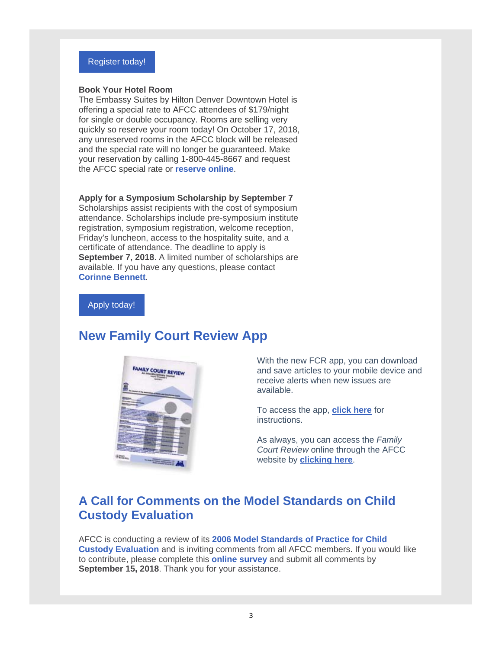

#### **Book Your Hotel Room**

The Embassy Suites by Hilton Denver Downtown Hotel is offering a special rate to AFCC attendees of \$179/night for single or double occupancy. Rooms are selling very quickly so reserve your room today! On October 17, 2018, any unreserved rooms in the AFCC block will be released and the special rate will no longer be guaranteed. Make your reservation by calling 1-800-445-8667 and request the AFCC special rate or **reserve online**.

#### **Apply for a Symposium Scholarship by September 7**

Scholarships assist recipients with the cost of symposium attendance. Scholarships include pre-symposium institute registration, symposium registration, welcome reception, Friday's luncheon, access to the hospitality suite, and a certificate of attendance. The deadline to apply is **September 7, 2018**. A limited number of scholarships are available. If you have any questions, please contact **Corinne Bennett**.

#### Apply today!

# **New Family Court Review App**



With the new FCR app, you can download and save articles to your mobile device and receive alerts when new issues are available.

To access the app, **click here** for instructions.

As always, you can access the *Family Court Review* online through the AFCC website by **clicking here**.

# **A Call for Comments on the Model Standards on Child Custody Evaluation**

AFCC is conducting a review of its **2006 Model Standards of Practice for Child Custody Evaluation** and is inviting comments from all AFCC members. If you would like to contribute, please complete this **online survey** and submit all comments by **September 15, 2018**. Thank you for your assistance.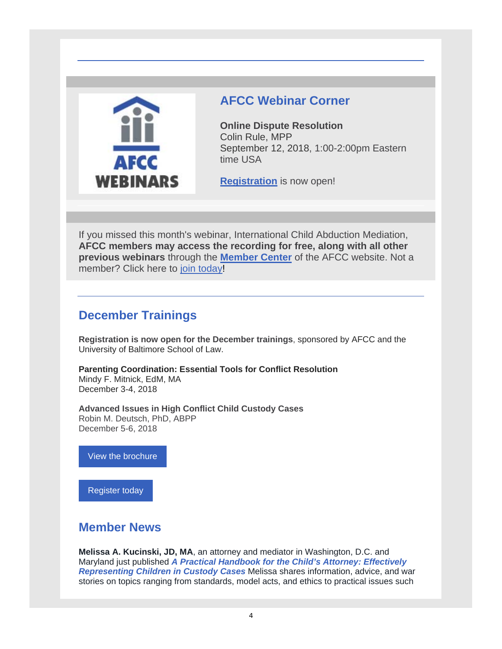

# **AFCC Webinar Corner**

**Online Dispute Resolution** Colin Rule, MPP September 12, 2018, 1:00-2:00pm Eastern time USA

**Registration** is now open!

If you missed this month's webinar, International Child Abduction Mediation, **AFCC members may access the recording for free, along with all other previous webinars** through the **Member Center** of the AFCC website. Not a member? Click here to join today!

# **December Trainings**

**Registration is now open for the December trainings**, sponsored by AFCC and the University of Baltimore School of Law.

**Parenting Coordination: Essential Tools for Conflict Resolution** Mindy F. Mitnick, EdM, MA December 3-4, 2018

**Advanced Issues in High Conflict Child Custody Cases** Robin M. Deutsch, PhD, ABPP December 5-6, 2018

View the brochure

Register today

## **Member News**

**Melissa A. Kucinski, JD, MA**, an attorney and mediator in Washington, D.C. and Maryland just published *A Practical Handbook for the Child's Attorney: Effectively Representing Children in Custody Cases* Melissa shares information, advice, and war stories on topics ranging from standards, model acts, and ethics to practical issues such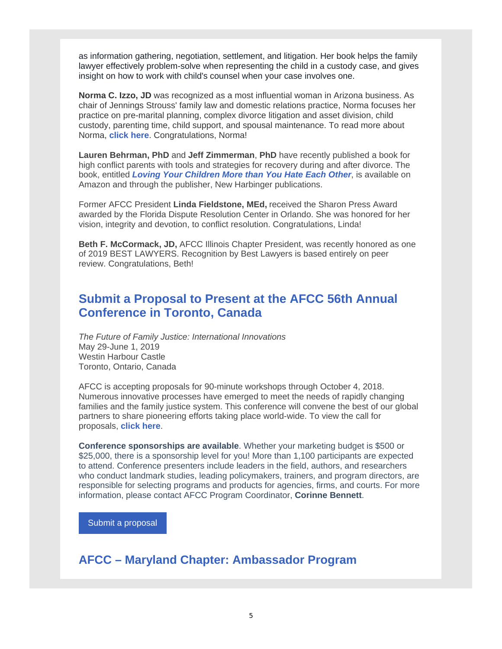as information gathering, negotiation, settlement, and litigation. Her book helps the family lawyer effectively problem-solve when representing the child in a custody case, and gives insight on how to work with child's counsel when your case involves one.

**Norma C. Izzo, JD** was recognized as a most influential woman in Arizona business. As chair of Jennings Strouss' family law and domestic relations practice, Norma focuses her practice on pre-marital planning, complex divorce litigation and asset division, child custody, parenting time, child support, and spousal maintenance. To read more about Norma, **click here**. Congratulations, Norma!

**Lauren Behrman, PhD** and **Jeff Zimmerman**, **PhD** have recently published a book for high conflict parents with tools and strategies for recovery during and after divorce. The book, entitled *Loving Your Children More than You Hate Each Other*, is available on Amazon and through the publisher, New Harbinger publications.

Former AFCC President **Linda Fieldstone, MEd,** received the Sharon Press Award awarded by the Florida Dispute Resolution Center in Orlando. She was honored for her vision, integrity and devotion, to conflict resolution. Congratulations, Linda!

**Beth F. McCormack, JD,** AFCC Illinois Chapter President, was recently honored as one of 2019 BEST LAWYERS. Recognition by Best Lawyers is based entirely on peer review. Congratulations, Beth!

# **Submit a Proposal to Present at the AFCC 56th Annual Conference in Toronto, Canada**

*The Future of Family Justice: International Innovations* May 29-June 1, 2019 Westin Harbour Castle Toronto, Ontario, Canada

AFCC is accepting proposals for 90-minute workshops through October 4, 2018. Numerous innovative processes have emerged to meet the needs of rapidly changing families and the family justice system. This conference will convene the best of our global partners to share pioneering efforts taking place world-wide. To view the call for proposals, **click here**.

**Conference sponsorships are available**. Whether your marketing budget is \$500 or \$25,000, there is a sponsorship level for you! More than 1,100 participants are expected to attend. Conference presenters include leaders in the field, authors, and researchers who conduct landmark studies, leading policymakers, trainers, and program directors, are responsible for selecting programs and products for agencies, firms, and courts. For more information, please contact AFCC Program Coordinator, **Corinne Bennett**.

Submit a proposal

**AFCC – Maryland Chapter: Ambassador Program**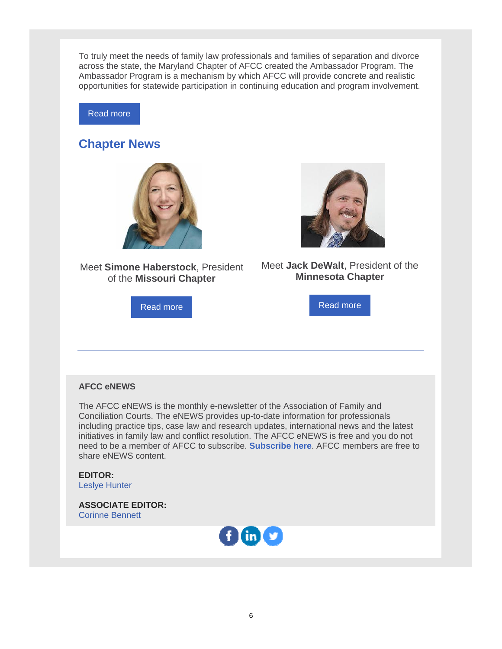To truly meet the needs of family law professionals and families of separation and divorce across the state, the Maryland Chapter of AFCC created the Ambassador Program. The Ambassador Program is a mechanism by which AFCC will provide concrete and realistic opportunities for statewide participation in continuing education and program involvement.

Read more

## **Chapter News**



Meet **Simone Haberstock**, President of the **Missouri Chapter**

Read more



Meet **Jack DeWalt**, President of the **Minnesota Chapter**

Read more

#### **AFCC eNEWS**

The AFCC eNEWS is the monthly e-newsletter of the Association of Family and Conciliation Courts. The eNEWS provides up-to-date information for professionals including practice tips, case law and research updates, international news and the latest initiatives in family law and conflict resolution. The AFCC eNEWS is free and you do not need to be a member of AFCC to subscribe. **Subscribe here**. AFCC members are free to share eNEWS content.

**EDITOR:** Leslye Hunter

**ASSOCIATE EDITOR:** Corinne Bennett

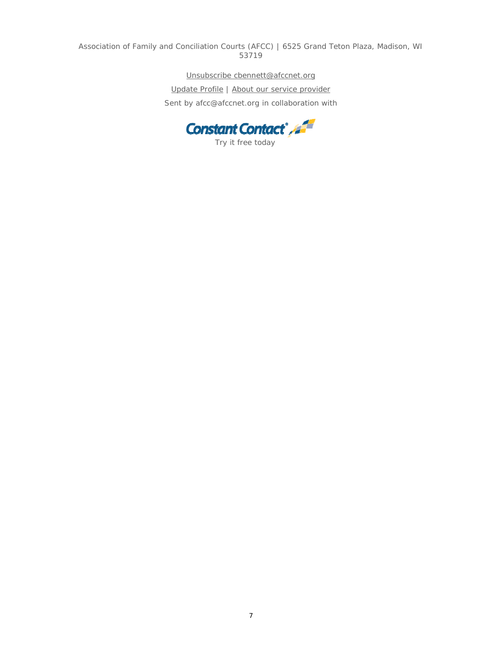Association of Family and Conciliation Courts (AFCC) | 6525 Grand Teton Plaza, Madison, WI 53719

Unsubscribe cbennett@afccnet.org

Update Profile | About our service provider Sent by afcc@afccnet.org in collaboration with

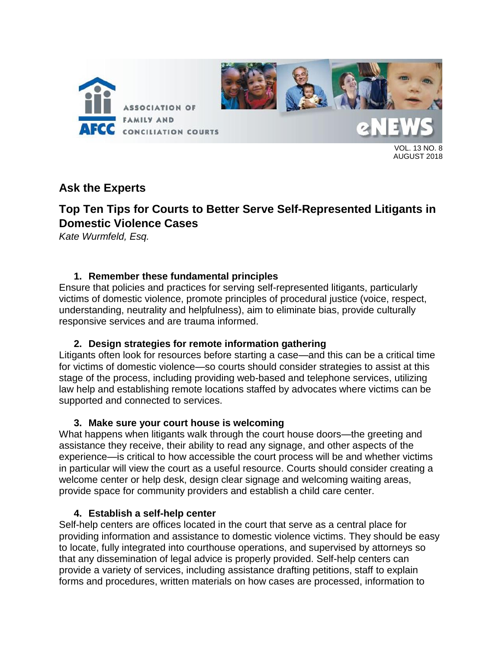

13 NO.  $\beta$ AUGUST 2018

# **Ask the Experts**

# **Top Ten Tips for Courts to Better Serve Self-Represented Litigants in Domestic Violence Cases**

*Kate Wurmfeld, Esq.*

### **1. Remember these fundamental principles**

Ensure that policies and practices for serving self-represented litigants, particularly victims of domestic violence, promote principles of procedural justice (voice, respect, understanding, neutrality and helpfulness), aim to eliminate bias, provide culturally responsive services and are trauma informed.

### **2. Design strategies for remote information gathering**

Litigants often look for resources before starting a case—and this can be a critical time for victims of domestic violence—so courts should consider strategies to assist at this stage of the process, including providing web-based and telephone services, utilizing law help and establishing remote locations staffed by advocates where victims can be supported and connected to services.

### **3. Make sure your court house is welcoming**

What happens when litigants walk through the court house doors—the greeting and assistance they receive, their ability to read any signage, and other aspects of the experience—is critical to how accessible the court process will be and whether victims in particular will view the court as a useful resource. Courts should consider creating a welcome center or help desk, design clear signage and welcoming waiting areas, provide space for community providers and establish a child care center.

### **4. Establish a self-help center**

Self-help centers are offices located in the court that serve as a central place for providing information and assistance to domestic violence victims. They should be easy to locate, fully integrated into courthouse operations, and supervised by attorneys so that any dissemination of legal advice is properly provided. Self-help centers can provide a variety of services, including assistance drafting petitions, staff to explain forms and procedures, written materials on how cases are processed, information to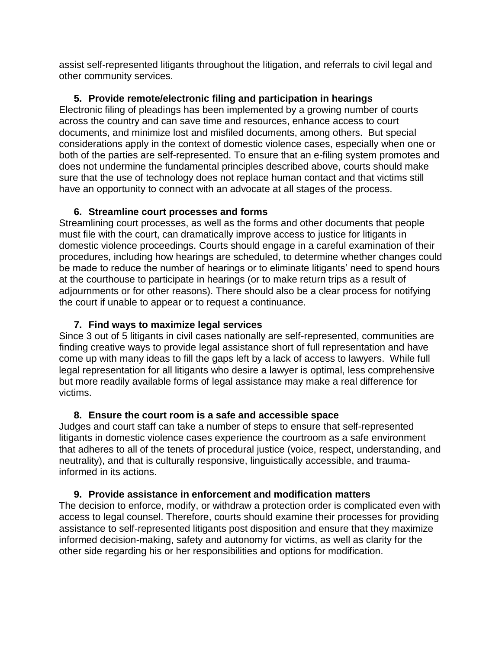assist self-represented litigants throughout the litigation, and referrals to civil legal and other community services.

### **5. Provide remote/electronic filing and participation in hearings**

Electronic filing of pleadings has been implemented by a growing number of courts across the country and can save time and resources, enhance access to court documents, and minimize lost and misfiled documents, among others. But special considerations apply in the context of domestic violence cases, especially when one or both of the parties are self-represented. To ensure that an e-filing system promotes and does not undermine the fundamental principles described above, courts should make sure that the use of technology does not replace human contact and that victims still have an opportunity to connect with an advocate at all stages of the process.

### **6. Streamline court processes and forms**

Streamlining court processes, as well as the forms and other documents that people must file with the court, can dramatically improve access to justice for litigants in domestic violence proceedings. Courts should engage in a careful examination of their procedures, including how hearings are scheduled, to determine whether changes could be made to reduce the number of hearings or to eliminate litigants' need to spend hours at the courthouse to participate in hearings (or to make return trips as a result of adjournments or for other reasons). There should also be a clear process for notifying the court if unable to appear or to request a continuance.

### **7. Find ways to maximize legal services**

Since 3 out of 5 litigants in civil cases nationally are self-represented, communities are finding creative ways to provide legal assistance short of full representation and have come up with many ideas to fill the gaps left by a lack of access to lawyers. While full legal representation for all litigants who desire a lawyer is optimal, less comprehensive but more readily available forms of legal assistance may make a real difference for victims.

### **8. Ensure the court room is a safe and accessible space**

Judges and court staff can take a number of steps to ensure that self-represented litigants in domestic violence cases experience the courtroom as a safe environment that adheres to all of the tenets of procedural justice (voice, respect, understanding, and neutrality), and that is culturally responsive, linguistically accessible, and traumainformed in its actions.

## **9. Provide assistance in enforcement and modification matters**

The decision to enforce, modify, or withdraw a protection order is complicated even with access to legal counsel. Therefore, courts should examine their processes for providing assistance to self-represented litigants post disposition and ensure that they maximize informed decision-making, safety and autonomy for victims, as well as clarity for the other side regarding his or her responsibilities and options for modification.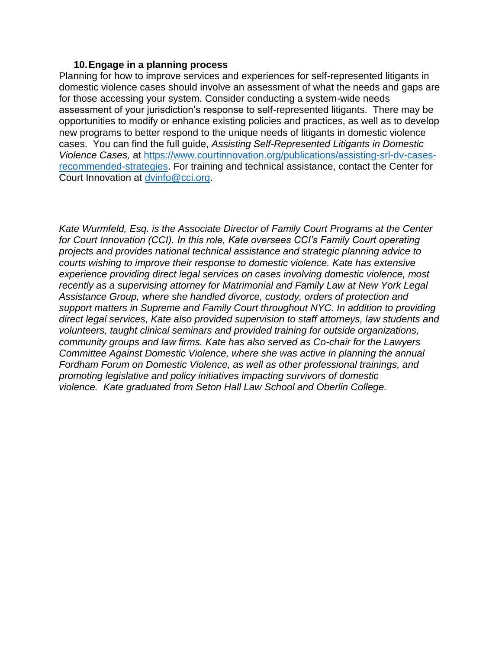#### **10.Engage in a planning process**

Planning for how to improve services and experiences for self-represented litigants in domestic violence cases should involve an assessment of what the needs and gaps are for those accessing your system. Consider conducting a system-wide needs assessment of your jurisdiction's response to self-represented litigants. There may be opportunities to modify or enhance existing policies and practices, as well as to develop new programs to better respond to the unique needs of litigants in domestic violence cases. You can find the full guide, *Assisting Self-Represented Litigants in Domestic Violence Cases,* at [https://www.courtinnovation.org/publications/assisting-srl-dv-cases](https://www.courtinnovation.org/publications/assisting-srl-dv-cases-recommended-strategies)[recommended-strategies.](https://www.courtinnovation.org/publications/assisting-srl-dv-cases-recommended-strategies) For training and technical assistance, contact the Center for Court Innovation at [dvinfo@cci.org.](mailto:dvinfo@cci.org)

*Kate Wurmfeld, Esq. is the Associate Director of Family Court Programs at the Center for Court Innovation (CCI). In this role, Kate oversees CCI's Family Court operating projects and provides national technical assistance and strategic planning advice to courts wishing to improve their response to domestic violence. Kate has extensive experience providing direct legal services on cases involving domestic violence, most recently as a supervising attorney for Matrimonial and Family Law at New York Legal Assistance Group, where she handled divorce, custody, orders of protection and support matters in Supreme and Family Court throughout NYC. In addition to providing direct legal services, Kate also provided supervision to staff attorneys, law students and volunteers, taught clinical seminars and provided training for outside organizations, community groups and law firms. Kate has also served as Co-chair for the Lawyers Committee Against Domestic Violence, where she was active in planning the annual Fordham Forum on Domestic Violence, as well as other professional trainings, and promoting legislative and policy initiatives impacting survivors of domestic violence. Kate graduated from Seton Hall Law School and Oberlin College.*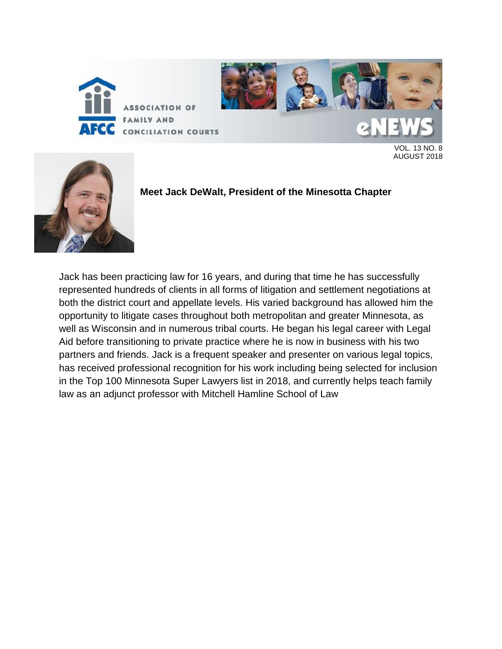

CONCILIATION COURTS

VOL. 13 NO. 8 AUGUST 2018



**Meet Jack DeWalt, President of the Minesotta Chapter**

Jack has been practicing law for 16 years, and during that time he has successfully represented hundreds of clients in all forms of litigation and settlement negotiations at both the district court and appellate levels. His varied background has allowed him the opportunity to litigate cases throughout both metropolitan and greater Minnesota, as well as Wisconsin and in numerous tribal courts. He began his legal career with Legal Aid before transitioning to private practice where he is now in business with his two partners and friends. Jack is a frequent speaker and presenter on various legal topics, has received professional recognition for his work including being selected for inclusion in the Top 100 Minnesota Super Lawyers list in 2018, and currently helps teach family law as an adjunct professor with Mitchell Hamline School of Law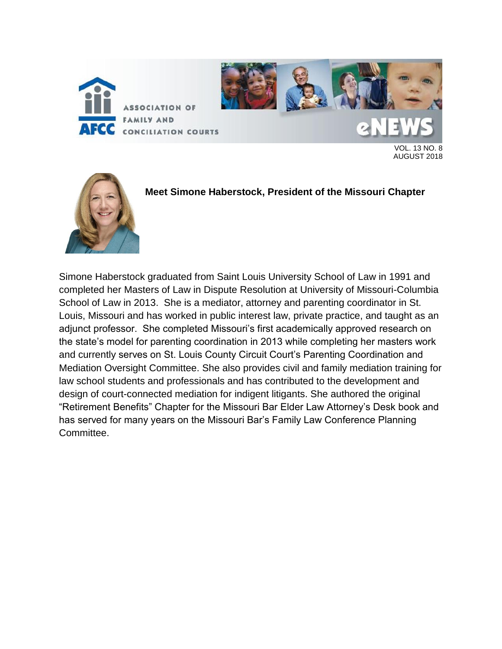



VOL. 13 NO. 8 AUGUST 2018



**Meet Simone Haberstock, President of the Missouri Chapter**

Simone Haberstock graduated from Saint Louis University School of Law in 1991 and completed her Masters of Law in Dispute Resolution at University of Missouri-Columbia School of Law in 2013. She is a mediator, attorney and parenting coordinator in St. Louis, Missouri and has worked in public interest law, private practice, and taught as an adjunct professor. She completed Missouri's first academically approved research on the state's model for parenting coordination in 2013 while completing her masters work and currently serves on St. Louis County Circuit Court's Parenting Coordination and Mediation Oversight Committee. She also provides civil and family mediation training for law school students and professionals and has contributed to the development and design of court-connected mediation for indigent litigants. She authored the original "Retirement Benefits" Chapter for the Missouri Bar Elder Law Attorney's Desk book and has served for many years on the Missouri Bar's Family Law Conference Planning Committee.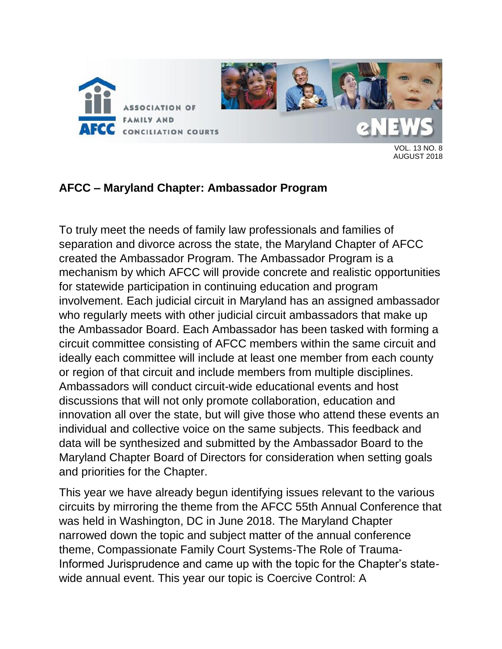

VOL. 13 NO. 8 AUGUST 2018

# **AFCC – Maryland Chapter: Ambassador Program**

To truly meet the needs of family law professionals and families of separation and divorce across the state, the Maryland Chapter of AFCC created the Ambassador Program. The Ambassador Program is a mechanism by which AFCC will provide concrete and realistic opportunities for statewide participation in continuing education and program involvement. Each judicial circuit in Maryland has an assigned ambassador who regularly meets with other judicial circuit ambassadors that make up the Ambassador Board. Each Ambassador has been tasked with forming a circuit committee consisting of AFCC members within the same circuit and ideally each committee will include at least one member from each county or region of that circuit and include members from multiple disciplines. Ambassadors will conduct circuit-wide educational events and host discussions that will not only promote collaboration, education and innovation all over the state, but will give those who attend these events an individual and collective voice on the same subjects. This feedback and data will be synthesized and submitted by the Ambassador Board to the Maryland Chapter Board of Directors for consideration when setting goals and priorities for the Chapter.

This year we have already begun identifying issues relevant to the various circuits by mirroring the theme from the AFCC 55th Annual Conference that was held in Washington, DC in June 2018. The Maryland Chapter narrowed down the topic and subject matter of the annual conference theme, Compassionate Family Court Systems-The Role of Trauma-Informed Jurisprudence and came up with the topic for the Chapter's statewide annual event. This year our topic is Coercive Control: A